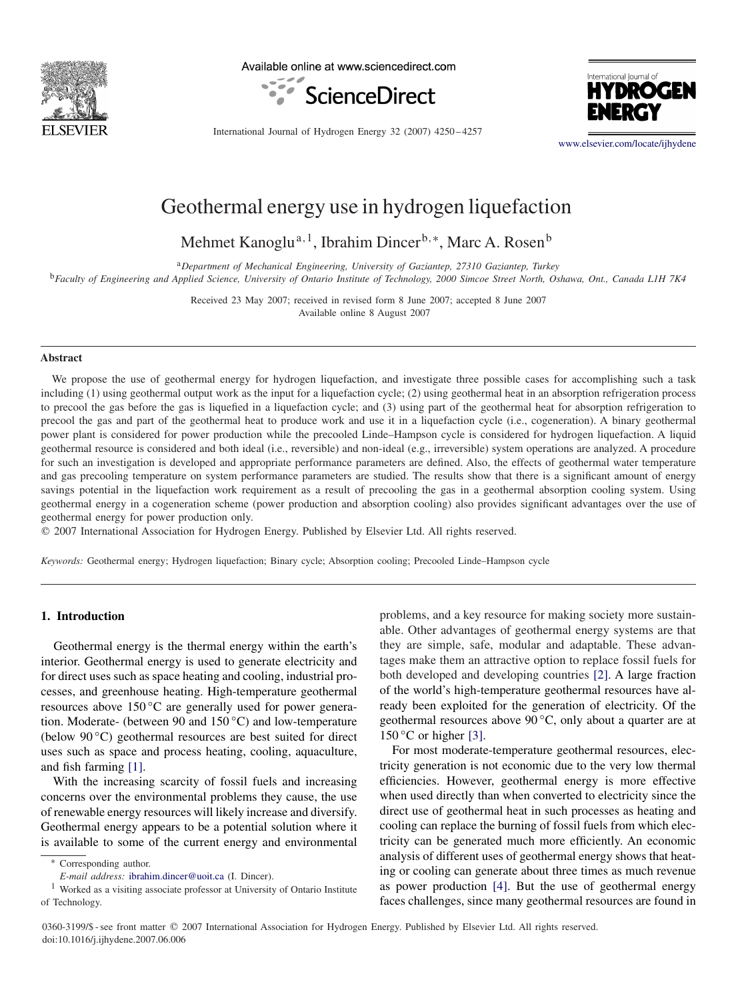

Available online at www.sciencedirect.com





International Journal of Hydrogen Energy 32 (2007) 4250 – 4257

[www.elsevier.com/locate/ijhydene](http://www.elsevier.com/locate/ijhydene)

## Geothermal energy use in hydrogen liquefaction

Mehmet Kanoglu<sup>a, 1</sup>, Ibrahim Dincer<sup>b,∗</sup>, Marc A. Rosen<sup>b</sup>

<sup>a</sup>*Department of Mechanical Engineering, University of Gaziantep, 27310 Gaziantep, Turkey* <sup>b</sup>*Faculty of Engineering and Applied Science, University of Ontario Institute of Technology, 2000 Simcoe Street North, Oshawa, Ont., Canada L1H 7K4*

> Received 23 May 2007; received in revised form 8 June 2007; accepted 8 June 2007 Available online 8 August 2007

#### **Abstract**

We propose the use of geothermal energy for hydrogen liquefaction, and investigate three possible cases for accomplishing such a task including (1) using geothermal output work as the input for a liquefaction cycle; (2) using geothermal heat in an absorption refrigeration process to precool the gas before the gas is liquefied in a liquefaction cycle; and (3) using part of the geothermal heat for absorption refrigeration to precool the gas and part of the geothermal heat to produce work and use it in a liquefaction cycle (i.e., cogeneration). A binary geothermal power plant is considered for power production while the precooled Linde–Hampson cycle is considered for hydrogen liquefaction. A liquid geothermal resource is considered and both ideal (i.e., reversible) and non-ideal (e.g., irreversible) system operations are analyzed. A procedure for such an investigation is developed and appropriate performance parameters are defined. Also, the effects of geothermal water temperature and gas precooling temperature on system performance parameters are studied. The results show that there is a significant amount of energy savings potential in the liquefaction work requirement as a result of precooling the gas in a geothermal absorption cooling system. Using geothermal energy in a cogeneration scheme (power production and absorption cooling) also provides significant advantages over the use of geothermal energy for power production only.

- 2007 International Association for Hydrogen Energy. Published by Elsevier Ltd. All rights reserved.

*Keywords:* Geothermal energy; Hydrogen liquefaction; Binary cycle; Absorption cooling; Precooled Linde–Hampson cycle

#### **1. Introduction**

Geothermal energy is the thermal energy within the earth's interior. Geothermal energy is used to generate electricity and for direct uses such as space heating and cooling, industrial processes, and greenhouse heating. High-temperature geothermal resources above 150 ◦C are generally used for power generation. Moderate- (between 90 and 150 ◦C) and low-temperature (below  $90^{\circ}$ C) geothermal resources are best suited for direct uses such as space and process heating, cooling, aquaculture, and fish farming [\[1\].](#page--1-0)

With the increasing scarcity of fossil fuels and increasing concerns over the environmental problems they cause, the use of renewable energy resources will likely increase and diversify. Geothermal energy appears to be a potential solution where it is available to some of the current energy and environmental

problems, and a key resource for making society more sustainable. Other advantages of geothermal energy systems are that they are simple, safe, modular and adaptable. These advantages make them an attractive option to replace fossil fuels for both developed and developing countries [\[2\].](#page--1-0) A large fraction of the world's high-temperature geothermal resources have already been exploited for the generation of electricity. Of the geothermal resources above  $90^{\circ}$ C, only about a quarter are at  $150^{\circ}$ C or higher [\[3\].](#page--1-0)

For most moderate-temperature geothermal resources, electricity generation is not economic due to the very low thermal efficiencies. However, geothermal energy is more effective when used directly than when converted to electricity since the direct use of geothermal heat in such processes as heating and cooling can replace the burning of fossil fuels from which electricity can be generated much more efficiently. An economic analysis of different uses of geothermal energy shows that heating or cooling can generate about three times as much revenue as power production [\[4\].](#page--1-0) But the use of geothermal energy faces challenges, since many geothermal resources are found in

0360-3199/\$ - see front matter © 2007 International Association for Hydrogen Energy. Published by Elsevier Ltd. All rights reserved. doi:10.1016/j.ijhydene.2007.06.006

<sup>∗</sup> Corresponding author.

*E-mail address:* [ibrahim.dincer@uoit.ca](mailto:ibrahim.dincer@uoit.ca) (I. Dincer).

<sup>1</sup> Worked as a visiting associate professor at University of Ontario Institute of Technology.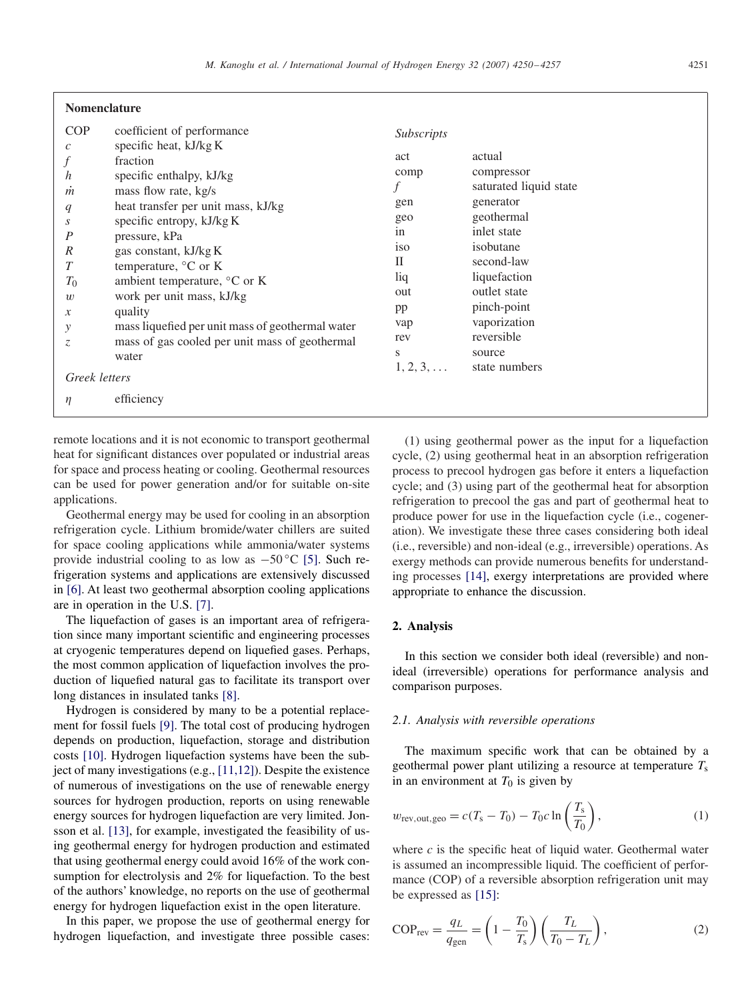| <b>Nomenclature</b> |  |
|---------------------|--|
|---------------------|--|

| <b>COP</b><br>$\mathcal{C}_{0}$ | coefficient of performance<br>specific heat, kJ/kg K | Subscripts        |                        |
|---------------------------------|------------------------------------------------------|-------------------|------------------------|
|                                 | fraction                                             | act               | actual                 |
| $\boldsymbol{h}$                | specific enthalpy, kJ/kg                             | comp              | compressor             |
| $\dot{m}$                       | mass flow rate, kg/s                                 |                   | saturated liquid state |
| q                               | heat transfer per unit mass, kJ/kg                   | gen               | generator              |
| S                               | specific entropy, kJ/kg K                            | geo               | geothermal             |
| $\boldsymbol{P}$                | pressure, kPa                                        | in                | inlet state            |
| $\mathbb{R}^n$                  | gas constant, kJ/kg K                                | <i>iso</i>        | isobutane              |
| $\boldsymbol{T}$                | temperature, $\mathrm{^{\circ}C}$ or K               | П                 | second-law             |
| $T_0$                           | ambient temperature, $\rm{^{\circ}C}$ or K           | liq               | liquefaction           |
| w                               | work per unit mass, kJ/kg                            | out               | outlet state           |
| $\mathcal{X}$                   | quality                                              | pp                | pinch-point            |
| у                               | mass liquefied per unit mass of geothermal water     | vap               | vaporization           |
| Z.                              | mass of gas cooled per unit mass of geothermal       | rev               | reversible             |
|                                 | water                                                | S                 | source                 |
|                                 |                                                      | $1, 2, 3, \ldots$ | state numbers          |
| Greek letters                   |                                                      |                   |                        |
|                                 | efficiency                                           |                   |                        |

remote locations and it is not economic to transport geothermal heat for significant distances over populated or industrial areas for space and process heating or cooling. Geothermal resources can be used for power generation and/or for suitable on-site applications.

Geothermal energy may be used for cooling in an absorption refrigeration cycle. Lithium bromide/water chillers are suited for space cooling applications while ammonia/water systems provide industrial cooling to as low as  $-50$  °C [\[5\].](#page--1-0) Such refrigeration systems and applications are extensively discussed in [\[6\].](#page--1-0) At least two geothermal absorption cooling applications are in operation in the U.S. [\[7\].](#page--1-0)

The liquefaction of gases is an important area of refrigeration since many important scientific and engineering processes at cryogenic temperatures depend on liquefied gases. Perhaps, the most common application of liquefaction involves the production of liquefied natural gas to facilitate its transport over long distances in insulated tanks [\[8\].](#page--1-0)

Hydrogen is considered by many to be a potential replacement for fossil fuels [\[9\].](#page--1-0) The total cost of producing hydrogen depends on production, liquefaction, storage and distribution costs [\[10\].](#page--1-0) Hydrogen liquefaction systems have been the subject of many investigations (e.g., [11,12]). Despite the existence of numerous of investigations on the use of renewable energy sources for hydrogen production, reports on using renewable energy sources for hydrogen liquefaction are very limited. Jonsson et al. [\[13\],](#page--1-0) for example, investigated the feasibility of using geothermal energy for hydrogen production and estimated that using geothermal energy could avoid 16% of the work consumption for electrolysis and 2% for liquefaction. To the best of the authors' knowledge, no reports on the use of geothermal energy for hydrogen liquefaction exist in the open literature.

In this paper, we propose the use of geothermal energy for hydrogen liquefaction, and investigate three possible cases:

(1) using geothermal power as the input for a liquefaction cycle, (2) using geothermal heat in an absorption refrigeration process to precool hydrogen gas before it enters a liquefaction cycle; and (3) using part of the geothermal heat for absorption refrigeration to precool the gas and part of geothermal heat to produce power for use in the liquefaction cycle (i.e., cogeneration). We investigate these three cases considering both ideal (i.e., reversible) and non-ideal (e.g., irreversible) operations. As exergy methods can provide numerous benefits for understanding processes [\[14\],](#page--1-0) exergy interpretations are provided where appropriate to enhance the discussion.

### **2. Analysis**

In this section we consider both ideal (reversible) and nonideal (irreversible) operations for performance analysis and comparison purposes.

#### *2.1. Analysis with reversible operations*

The maximum specific work that can be obtained by a geothermal power plant utilizing a resource at temperature  $T_s$ in an environment at  $T_0$  is given by

$$
w_{\text{rev,out,geo}} = c(T_s - T_0) - T_0 c \ln\left(\frac{T_s}{T_0}\right),\tag{1}
$$

where  $c$  is the specific heat of liquid water. Geothermal water is assumed an incompressible liquid. The coefficient of performance (COP) of a reversible absorption refrigeration unit may be expressed as [\[15\]:](#page--1-0)

$$
COP_{rev} = \frac{q_L}{q_{gen}} = \left(1 - \frac{T_0}{T_s}\right) \left(\frac{T_L}{T_0 - T_L}\right),\tag{2}
$$